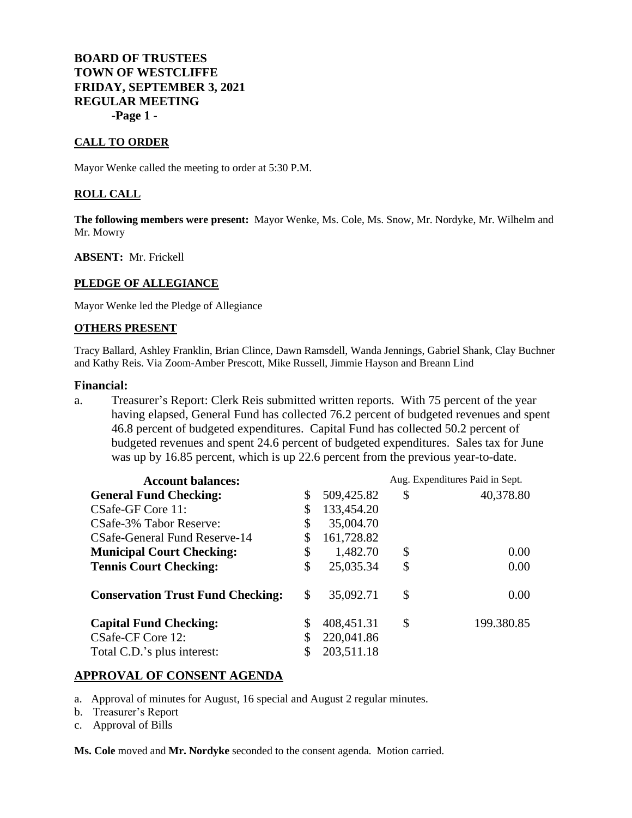# **BOARD OF TRUSTEES TOWN OF WESTCLIFFE FRIDAY, SEPTEMBER 3, 2021 REGULAR MEETING -Page 1 -**

### **CALL TO ORDER**

Mayor Wenke called the meeting to order at 5:30 P.M.

### **ROLL CALL**

**The following members were present:** Mayor Wenke, Ms. Cole, Ms. Snow, Mr. Nordyke, Mr. Wilhelm and Mr. Mowry

### **ABSENT:** Mr. Frickell

#### **PLEDGE OF ALLEGIANCE**

Mayor Wenke led the Pledge of Allegiance

#### **OTHERS PRESENT**

Tracy Ballard, Ashley Franklin, Brian Clince, Dawn Ramsdell, Wanda Jennings, Gabriel Shank, Clay Buchner and Kathy Reis. Via Zoom-Amber Prescott, Mike Russell, Jimmie Hayson and Breann Lind

#### **Financial:**

a. Treasurer's Report: Clerk Reis submitted written reports. With 75 percent of the year having elapsed, General Fund has collected 76.2 percent of budgeted revenues and spent 46.8 percent of budgeted expenditures. Capital Fund has collected 50.2 percent of budgeted revenues and spent 24.6 percent of budgeted expenditures. Sales tax for June was up by 16.85 percent, which is up 22.6 percent from the previous year-to-date.

| <b>Account balances:</b>                 |    |            | Aug. Expenditures Paid in Sept. |            |
|------------------------------------------|----|------------|---------------------------------|------------|
| <b>General Fund Checking:</b>            | \$ | 509,425.82 | \$                              | 40,378.80  |
| CSafe-GF Core 11:                        | \$ | 133,454.20 |                                 |            |
| CSafe-3% Tabor Reserve:                  | \$ | 35,004.70  |                                 |            |
| CSafe-General Fund Reserve-14            |    | 161,728.82 |                                 |            |
| <b>Municipal Court Checking:</b>         | \$ | 1,482.70   | \$                              | 0.00       |
| <b>Tennis Court Checking:</b>            | \$ | 25,035.34  | \$                              | 0.00       |
| <b>Conservation Trust Fund Checking:</b> | \$ | 35,092.71  | \$                              | 0.00       |
| <b>Capital Fund Checking:</b>            |    | 408,451.31 | \$                              | 199.380.85 |
| CSafe-CF Core 12:                        |    | 220,041.86 |                                 |            |
| Total C.D.'s plus interest:              |    | 203,511.18 |                                 |            |

## **APPROVAL OF CONSENT AGENDA**

- a. Approval of minutes for August, 16 special and August 2 regular minutes.
- b. Treasurer's Report
- c. Approval of Bills

**Ms. Cole** moved and **Mr. Nordyke** seconded to the consent agenda. Motion carried.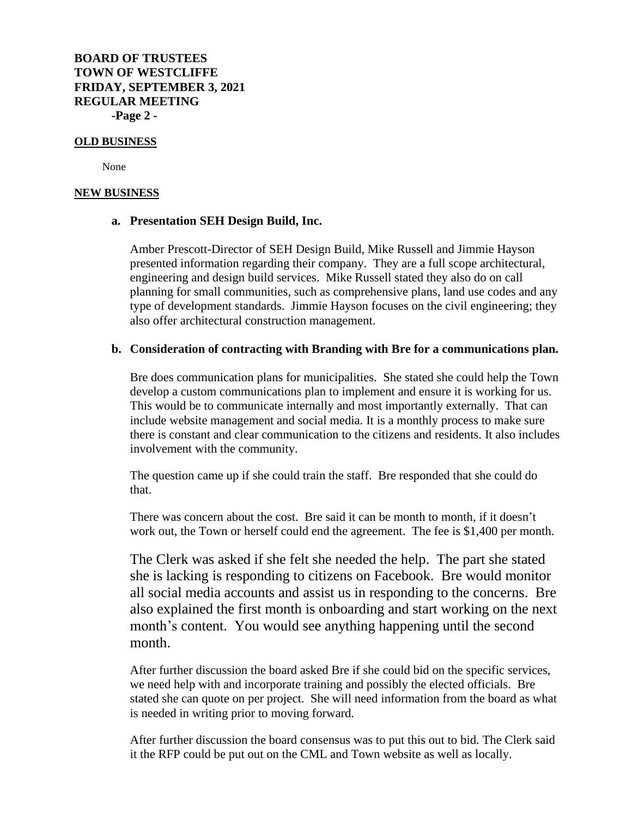**BOARD OF TRUSTEES TOWN OF WESTCLIFFE FRIDAY, SEPTEMBER 3, 2021 REGULAR MEETING -Page 2 -**

#### **OLD BUSINESS**

None

### **NEW BUSINESS**

### **a. Presentation SEH Design Build, Inc.**

Amber Prescott-Director of SEH Design Build, Mike Russell and Jimmie Hayson presented information regarding their company. They are a full scope architectural, engineering and design build services. Mike Russell stated they also do on call planning for small communities, such as comprehensive plans, land use codes and any type of development standards. Jimmie Hayson focuses on the civil engineering; they also offer architectural construction management.

## **b. Consideration of contracting with Branding with Bre for a communications plan.**

Bre does communication plans for municipalities. She stated she could help the Town develop a custom communications plan to implement and ensure it is working for us. This would be to communicate internally and most importantly externally. That can include website management and social media. It is a monthly process to make sure there is constant and clear communication to the citizens and residents. It also includes involvement with the community.

The question came up if she could train the staff. Bre responded that she could do that.

There was concern about the cost. Bre said it can be month to month, if it doesn't work out, the Town or herself could end the agreement. The fee is \$1,400 per month.

The Clerk was asked if she felt she needed the help. The part she stated she is lacking is responding to citizens on Facebook. Bre would monitor all social media accounts and assist us in responding to the concerns. Bre also explained the first month is onboarding and start working on the next month's content. You would see anything happening until the second month.

After further discussion the board asked Bre if she could bid on the specific services, we need help with and incorporate training and possibly the elected officials. Bre stated she can quote on per project. She will need information from the board as what is needed in writing prior to moving forward.

After further discussion the board consensus was to put this out to bid. The Clerk said it the RFP could be put out on the CML and Town website as well as locally.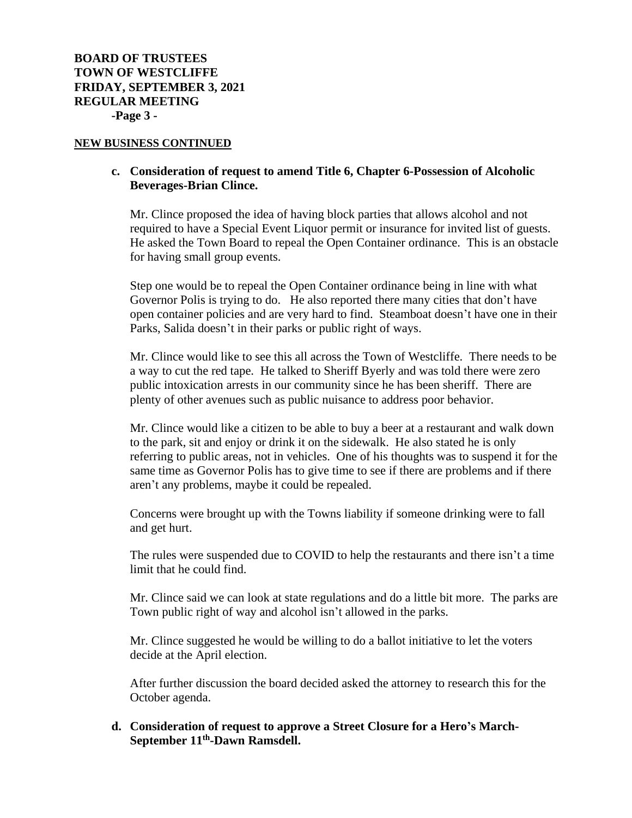### **NEW BUSINESS CONTINUED**

# **c. Consideration of request to amend Title 6, Chapter 6-Possession of Alcoholic Beverages-Brian Clince.**

Mr. Clince proposed the idea of having block parties that allows alcohol and not required to have a Special Event Liquor permit or insurance for invited list of guests. He asked the Town Board to repeal the Open Container ordinance. This is an obstacle for having small group events.

Step one would be to repeal the Open Container ordinance being in line with what Governor Polis is trying to do. He also reported there many cities that don't have open container policies and are very hard to find. Steamboat doesn't have one in their Parks, Salida doesn't in their parks or public right of ways.

Mr. Clince would like to see this all across the Town of Westcliffe. There needs to be a way to cut the red tape. He talked to Sheriff Byerly and was told there were zero public intoxication arrests in our community since he has been sheriff. There are plenty of other avenues such as public nuisance to address poor behavior.

Mr. Clince would like a citizen to be able to buy a beer at a restaurant and walk down to the park, sit and enjoy or drink it on the sidewalk. He also stated he is only referring to public areas, not in vehicles. One of his thoughts was to suspend it for the same time as Governor Polis has to give time to see if there are problems and if there aren't any problems, maybe it could be repealed.

Concerns were brought up with the Towns liability if someone drinking were to fall and get hurt.

The rules were suspended due to COVID to help the restaurants and there isn't a time limit that he could find.

Mr. Clince said we can look at state regulations and do a little bit more. The parks are Town public right of way and alcohol isn't allowed in the parks.

Mr. Clince suggested he would be willing to do a ballot initiative to let the voters decide at the April election.

After further discussion the board decided asked the attorney to research this for the October agenda.

# **d. Consideration of request to approve a Street Closure for a Hero's March-September 11th -Dawn Ramsdell.**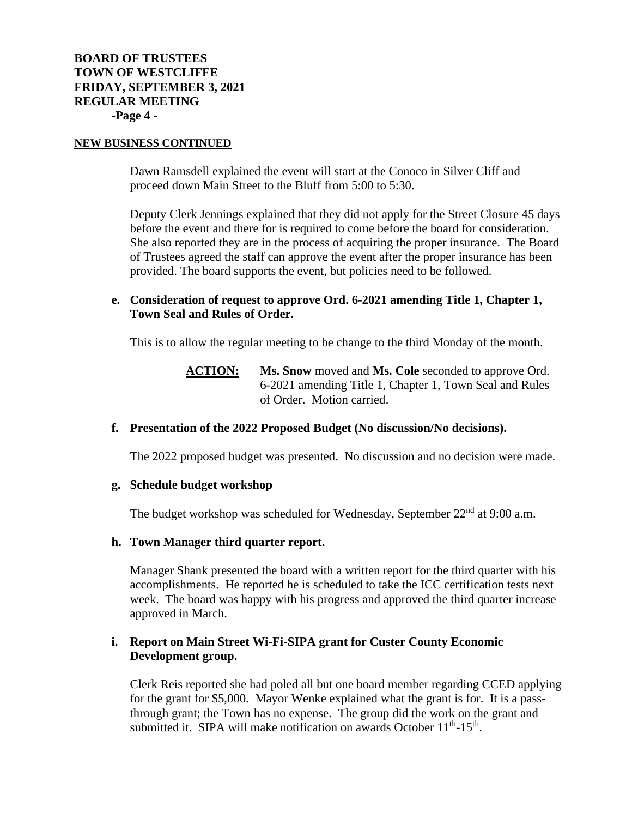### **NEW BUSINESS CONTINUED**

Dawn Ramsdell explained the event will start at the Conoco in Silver Cliff and proceed down Main Street to the Bluff from 5:00 to 5:30.

Deputy Clerk Jennings explained that they did not apply for the Street Closure 45 days before the event and there for is required to come before the board for consideration. She also reported they are in the process of acquiring the proper insurance. The Board of Trustees agreed the staff can approve the event after the proper insurance has been provided. The board supports the event, but policies need to be followed.

# **e. Consideration of request to approve Ord. 6-2021 amending Title 1, Chapter 1, Town Seal and Rules of Order.**

This is to allow the regular meeting to be change to the third Monday of the month.

**ACTION: Ms. Snow** moved and **Ms. Cole** seconded to approve Ord. 6-2021 amending Title 1, Chapter 1, Town Seal and Rules of Order. Motion carried.

# **f. Presentation of the 2022 Proposed Budget (No discussion/No decisions).**

The 2022 proposed budget was presented. No discussion and no decision were made.

## **g. Schedule budget workshop**

The budget workshop was scheduled for Wednesday, September  $22<sup>nd</sup>$  at 9:00 a.m.

## **h. Town Manager third quarter report.**

Manager Shank presented the board with a written report for the third quarter with his accomplishments. He reported he is scheduled to take the ICC certification tests next week. The board was happy with his progress and approved the third quarter increase approved in March.

# **i. Report on Main Street Wi-Fi-SIPA grant for Custer County Economic Development group.**

Clerk Reis reported she had poled all but one board member regarding CCED applying for the grant for \$5,000. Mayor Wenke explained what the grant is for. It is a passthrough grant; the Town has no expense. The group did the work on the grant and submitted it. SIPA will make notification on awards October 11<sup>th</sup>-15<sup>th</sup>.